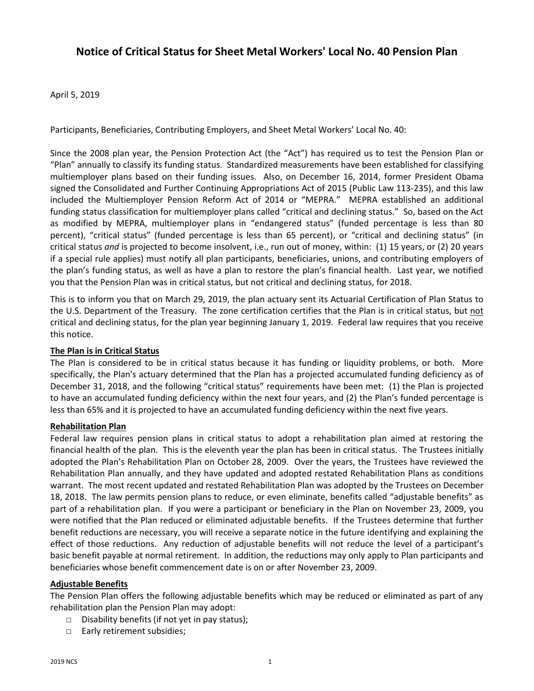# **Notice of Critical Status for Sheet Metal Workers' Local No. 40 Pension Plan**

April 5, 2019

Participants, Beneficiaries, Contributing Employers, and Sheet Metal Workers' Local No. 40:

Since the 2008 plan year, the Pension Protection Act (the "Act") has required us to test the Pension Plan or "Plan" annually to classify its funding status. Standardized measurements have been established for classifying multiemployer plans based on their funding issues. Also, on December 16, 2014, former President Obama signed the Consolidated and Further Continuing Appropriations Act of 2015 (Public Law 113-235), and this law included the Multiemployer Pension Reform Act of 2014 or "MEPRA." MEPRA established an additional funding status classification for multiemployer plans called "critical and declining status." So, based on the Act as modified by MEPRA, multiemployer plans in "endangered status" (funded percentage is less than 80 percent), "critical status" (funded percentage is less than 65 percent), or "critical and declining status" (in critical status *and* is projected to become insolvent, i.e., run out of money, within: (1) 15 years, or (2) 20 years if a special rule applies) must notify all plan participants, beneficiaries, unions, and contributing employers of the plan's funding status, as well as have a plan to restore the plan's financial health. Last year, we notified you that the Pension Plan was in critical status, but not critical and declining status, for 2018.

This is to inform you that on March 29, 2019, the plan actuary sent its Actuarial Certification of Plan Status to the U.S. Department of the Treasury. The zone certification certifies that the Plan is in critical status, but not critical and declining status, for the plan year beginning January 1, 2019. Federal law requires that you receive this notice.

## **The Plan is in Critical Status**

The Plan is considered to be in critical status because it has funding or liquidity problems, or both. More specifically, the Plan's actuary determined that the Plan has a projected accumulated funding deficiency as of December 31, 2018, and the following "critical status" requirements have been met: (1) the Plan is projected to have an accumulated funding deficiency within the next four years, and (2) the Plan's funded percentage is less than 65% and it is projected to have an accumulated funding deficiency within the next five years.

## **Rehabilitation Plan**

Federal law requires pension plans in critical status to adopt a rehabilitation plan aimed at restoring the financial health of the plan. This is the eleventh year the plan has been in critical status. The Trustees initially adopted the Plan's Rehabilitation Plan on October 28, 2009. Over the years, the Trustees have reviewed the Rehabilitation Plan annually, and they have updated and adopted restated Rehabilitation Plans as conditions warrant. The most recent updated and restated Rehabilitation Plan was adopted by the Trustees on December 18, 2018. The law permits pension plans to reduce, or even eliminate, benefits called "adjustable benefits" as part of a rehabilitation plan. If you were a participant or beneficiary in the Plan on November 23, 2009, you were notified that the Plan reduced or eliminated adjustable benefits. If the Trustees determine that further benefit reductions are necessary, you will receive a separate notice in the future identifying and explaining the effect of those reductions. Any reduction of adjustable benefits will not reduce the level of a participant's basic benefit payable at normal retirement. In addition, the reductions may only apply to Plan participants and beneficiaries whose benefit commencement date is on or after November 23, 2009.

## **Adjustable Benefits**

The Pension Plan offers the following adjustable benefits which may be reduced or eliminated as part of any rehabilitation plan the Pension Plan may adopt:

- $\Box$  Disability benefits (if not yet in pay status);
- □ Early retirement subsidies;